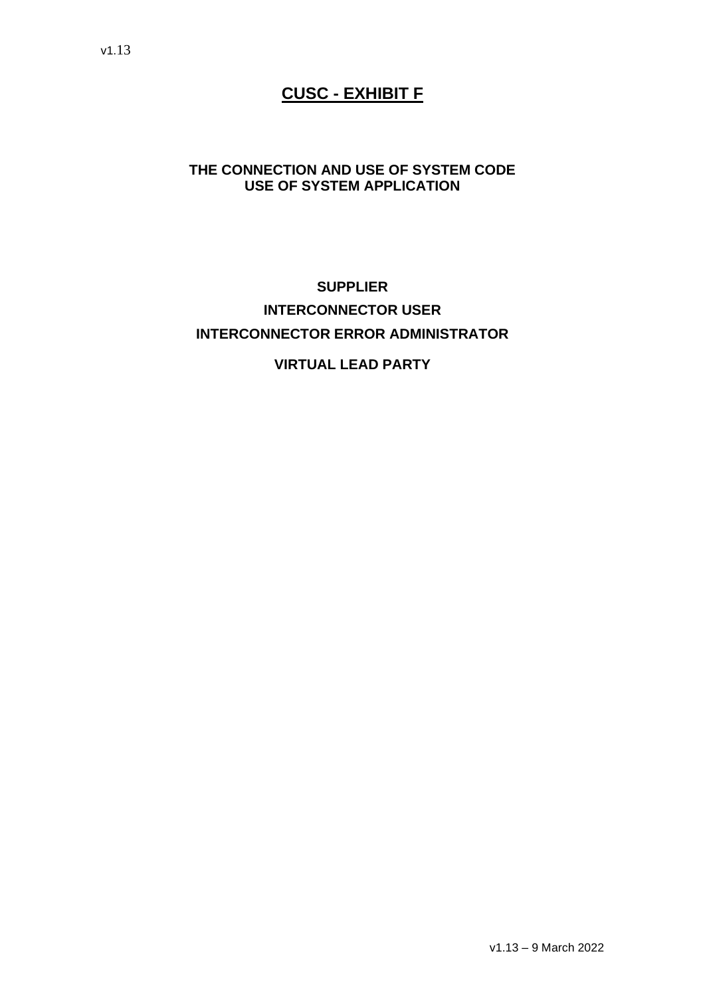# **CUSC - EXHIBIT F**

#### **THE CONNECTION AND USE OF SYSTEM CODE USE OF SYSTEM APPLICATION**

# **SUPPLIER INTERCONNECTOR USER INTERCONNECTOR ERROR ADMINISTRATOR**

### **VIRTUAL LEAD PARTY**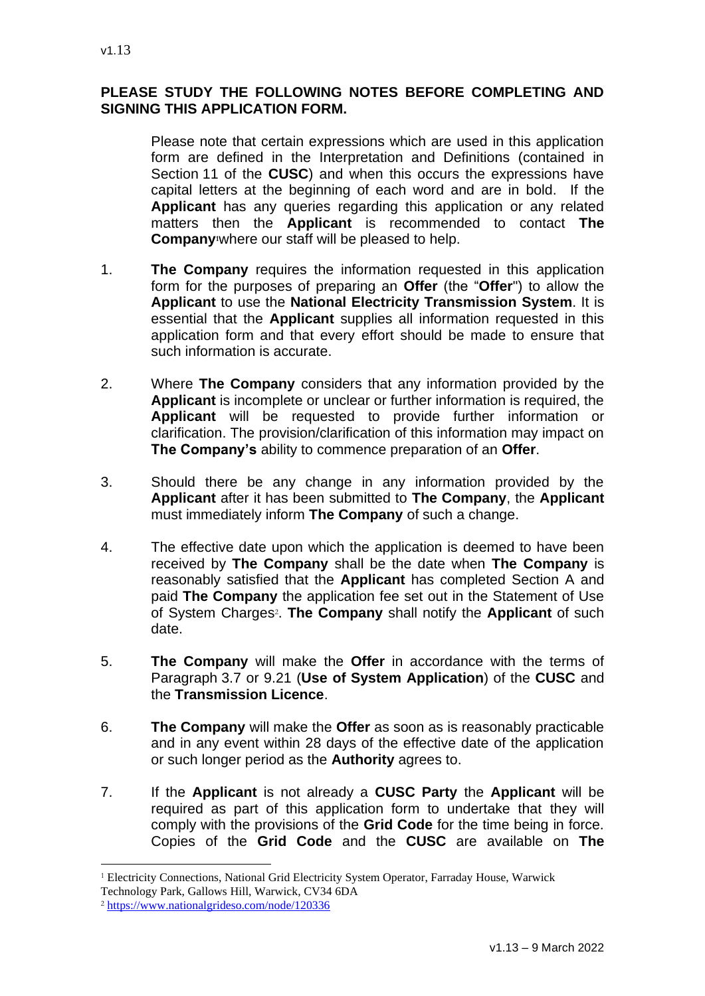#### **PLEASE STUDY THE FOLLOWING NOTES BEFORE COMPLETING AND SIGNING THIS APPLICATION FORM.**

Please note that certain expressions which are used in this application form are defined in the Interpretation and Definitions (contained in Section 11 of the **CUSC**) and when this occurs the expressions have capital letters at the beginning of each word and are in bold. If the **Applicant** has any queries regarding this application or any related matters then the **Applicant** is recommended to contact **The Company1**where our staff will be pleased to help.

- 1. **The Company** requires the information requested in this application form for the purposes of preparing an **Offer** (the "**Offer**") to allow the **Applicant** to use the **National Electricity Transmission System**. It is essential that the **Applicant** supplies all information requested in this application form and that every effort should be made to ensure that such information is accurate.
- 2. Where **The Company** considers that any information provided by the **Applicant** is incomplete or unclear or further information is required, the **Applicant** will be requested to provide further information or clarification. The provision/clarification of this information may impact on **The Company's** ability to commence preparation of an **Offer**.
- 3. Should there be any change in any information provided by the **Applicant** after it has been submitted to **The Company**, the **Applicant** must immediately inform **The Company** of such a change.
- 4. The effective date upon which the application is deemed to have been received by **The Company** shall be the date when **The Company** is reasonably satisfied that the **Applicant** has completed Section A and paid **The Company** the application fee set out in the Statement of Use of System Charges<sup>2</sup>. The Company shall notify the Applicant of such date.
- 5. **The Company** will make the **Offer** in accordance with the terms of Paragraph 3.7 or 9.21 (**Use of System Application**) of the **CUSC** and the **Transmission Licence**.
- 6. **The Company** will make the **Offer** as soon as is reasonably practicable and in any event within 28 days of the effective date of the application or such longer period as the **Authority** agrees to.
- 7. If the **Applicant** is not already a **CUSC Party** the **Applicant** will be required as part of this application form to undertake that they will comply with the provisions of the **Grid Code** for the time being in force. Copies of the **Grid Code** and the **CUSC** are available on **The**

<sup>&</sup>lt;sup>1</sup> Electricity Connections, National Grid Electricity System Operator, Farraday House, Warwick

Technology Park, Gallows Hill, Warwick, CV34 6DA

<sup>2</sup> <https://www.nationalgrideso.com/node/120336>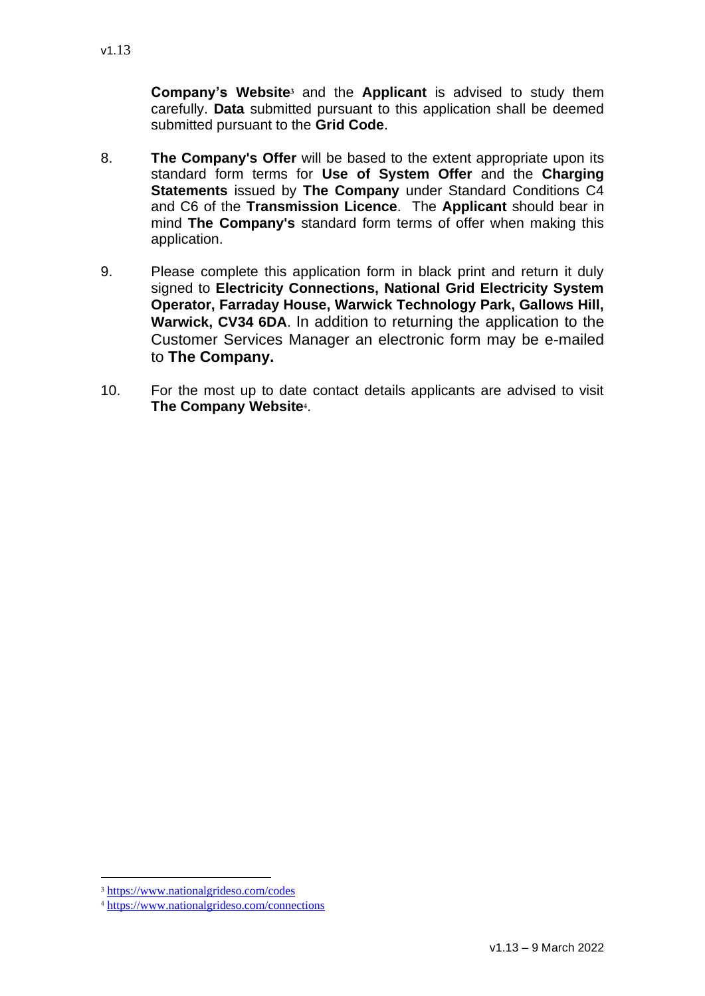**Company's Website<sup>3</sup>** and the **Applicant** is advised to study them carefully. **Data** submitted pursuant to this application shall be deemed submitted pursuant to the **Grid Code**.

- 8. **The Company's Offer** will be based to the extent appropriate upon its standard form terms for **Use of System Offer** and the **Charging Statements** issued by **The Company** under Standard Conditions C4 and C6 of the **Transmission Licence**. The **Applicant** should bear in mind **The Company's** standard form terms of offer when making this application.
- 9. Please complete this application form in black print and return it duly signed to **Electricity Connections, National Grid Electricity System Operator, Farraday House, Warwick Technology Park, Gallows Hill, Warwick, CV34 6DA**. In addition to returning the application to the Customer Services Manager an electronic form may be e-mailed to **The Company.**
- 10. For the most up to date contact details applicants are advised to visit **The Company Website<sup>4</sup>** .

<sup>3</sup> <https://www.nationalgrideso.com/codes>

<sup>4</sup> <https://www.nationalgrideso.com/connections>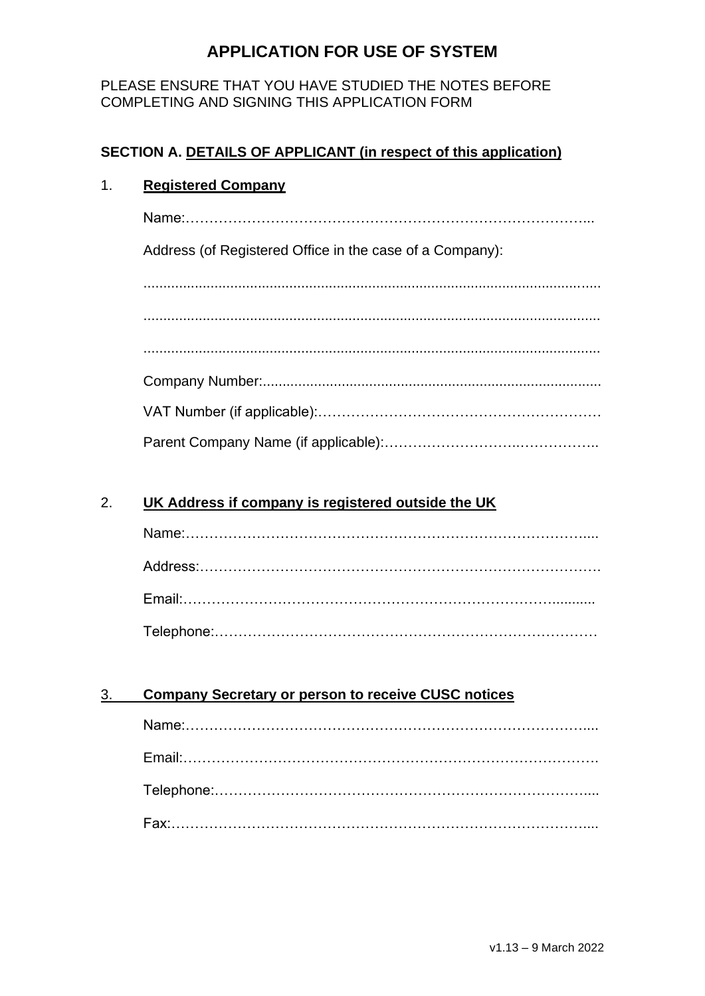#### PLEASE ENSURE THAT YOU HAVE STUDIED THE NOTES BEFORE COMPLETING AND SIGNING THIS APPLICATION FORM

### **SECTION A. DETAILS OF APPLICANT (in respect of this application)**

#### 1. **Registered Company**

Name:…………………………………………………………………………...

Address (of Registered Office in the case of a Company):

.................................................................................................................... .................................................................................................................... .................................................................................................................... Company Number:...................................................................................... VAT Number (if applicable):…………………………………………………… Parent Company Name (if applicable):………………………..……………..

#### 2. **UK Address if company is registered outside the UK**

#### 3. **Company Secretary or person to receive CUSC notices**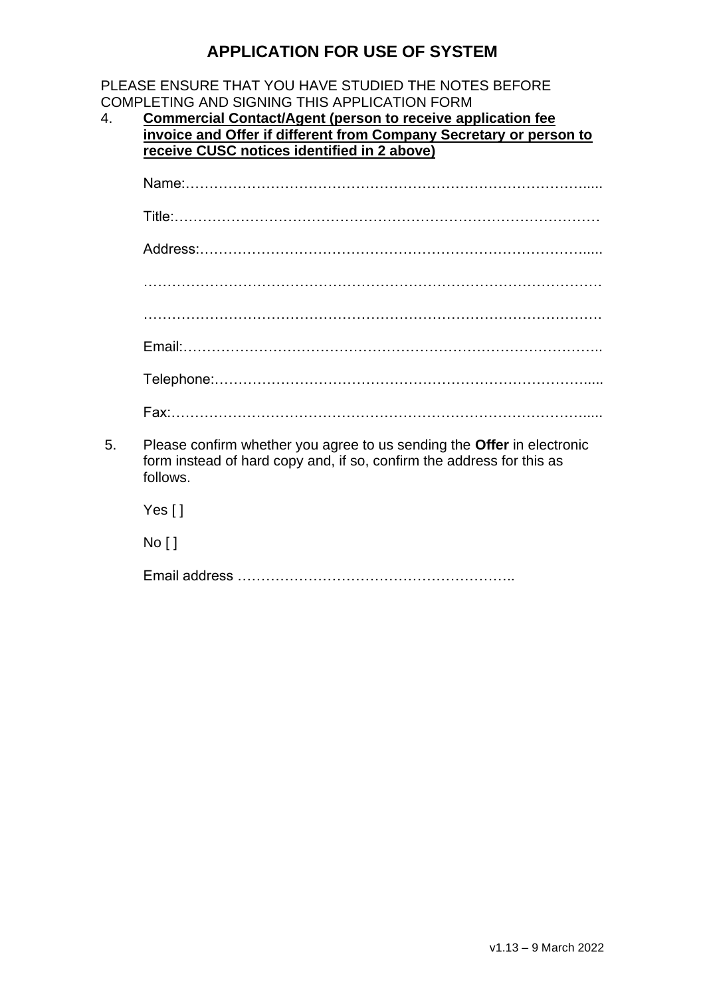#### PLEASE ENSURE THAT YOU HAVE STUDIED THE NOTES BEFORE COMPLETING AND SIGNING THIS APPLICATION FORM

4. **Commercial Contact/Agent (person to receive application fee invoice and Offer if different from Company Secretary or person to receive CUSC notices identified in 2 above)**

| 5. | Please confirm whether you agree to us sending the <b>Offer</b> in electronic<br>form instead of hard copy and, if so, confirm the address for this as<br>follows. |
|----|--------------------------------------------------------------------------------------------------------------------------------------------------------------------|
|    | Yes $\lceil \cdot \rceil$                                                                                                                                          |
|    | No [ ]                                                                                                                                                             |

Email address …………………………………………………..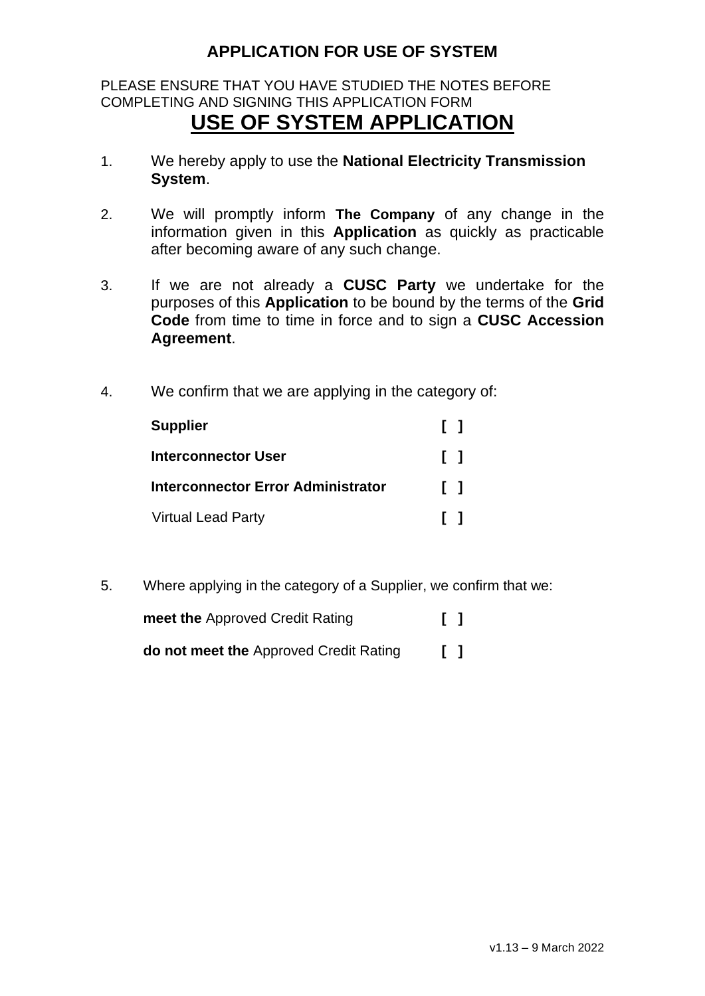### PLEASE ENSURE THAT YOU HAVE STUDIED THE NOTES BEFORE COMPLETING AND SIGNING THIS APPLICATION FORM **USE OF SYSTEM APPLICATION**

- 1. We hereby apply to use the **National Electricity Transmission System**.
- 2. We will promptly inform **The Company** of any change in the information given in this **Application** as quickly as practicable after becoming aware of any such change.
- 3. If we are not already a **CUSC Party** we undertake for the purposes of this **Application** to be bound by the terms of the **Grid Code** from time to time in force and to sign a **CUSC Accession Agreement**.
- 4. We confirm that we are applying in the category of:

| <b>Supplier</b>                           | . .          |
|-------------------------------------------|--------------|
| Interconnector User                       | $\Box$       |
| <b>Interconnector Error Administrator</b> | ΓI           |
| <b>Virtual Lead Party</b>                 | $\mathbf{1}$ |

5. Where applying in the category of a Supplier, we confirm that we:

| meet the Approved Credit Rating               | $\Box$ |  |
|-----------------------------------------------|--------|--|
| <b>do not meet the Approved Credit Rating</b> | $\Box$ |  |